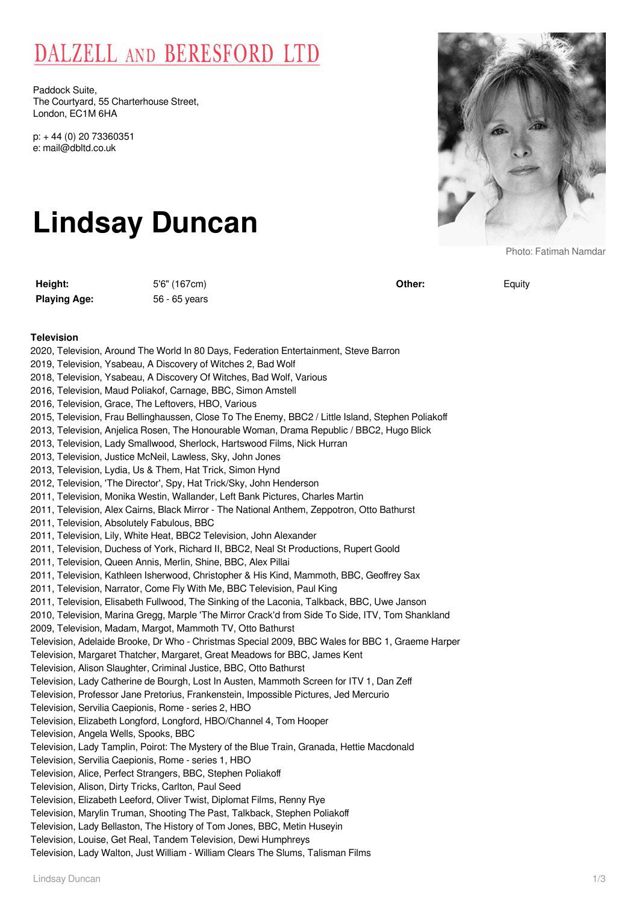## DALZELL AND BERESFORD LTD

Paddock Suite, The Courtyard, 55 Charterhouse Street, London, EC1M 6HA

p: + 44 (0) 20 73360351 e: mail@dbltd.co.uk

# **Lindsay Duncan**

**Height:** 5'6" (167cm) Playing Age: 56 - 65 years



Photo: Fatimah Namdar

**Other:** Equity

### **Television**

| 2020, Television, Around The World In 80 Days, Federation Entertainment, Steve Barron                                                              |
|----------------------------------------------------------------------------------------------------------------------------------------------------|
| 2019, Television, Ysabeau, A Discovery of Witches 2, Bad Wolf                                                                                      |
| 2018, Television, Ysabeau, A Discovery Of Witches, Bad Wolf, Various                                                                               |
| 2016, Television, Maud Poliakof, Carnage, BBC, Simon Amstell                                                                                       |
| 2016, Television, Grace, The Leftovers, HBO, Various                                                                                               |
| 2015, Television, Frau Bellinghaussen, Close To The Enemy, BBC2 / Little Island, Stephen Poliakoff                                                 |
| 2013, Television, Anjelica Rosen, The Honourable Woman, Drama Republic / BBC2, Hugo Blick                                                          |
| 2013, Television, Lady Smallwood, Sherlock, Hartswood Films, Nick Hurran                                                                           |
| 2013, Television, Justice McNeil, Lawless, Sky, John Jones                                                                                         |
| 2013, Television, Lydia, Us & Them, Hat Trick, Simon Hynd                                                                                          |
| 2012, Television, 'The Director', Spy, Hat Trick/Sky, John Henderson                                                                               |
| 2011, Television, Monika Westin, Wallander, Left Bank Pictures, Charles Martin                                                                     |
| 2011, Television, Alex Cairns, Black Mirror - The National Anthem, Zeppotron, Otto Bathurst                                                        |
| 2011, Television, Absolutely Fabulous, BBC                                                                                                         |
| 2011, Television, Lily, White Heat, BBC2 Television, John Alexander                                                                                |
| 2011, Television, Duchess of York, Richard II, BBC2, Neal St Productions, Rupert Goold                                                             |
| 2011, Television, Queen Annis, Merlin, Shine, BBC, Alex Pillai                                                                                     |
| 2011, Television, Kathleen Isherwood, Christopher & His Kind, Mammoth, BBC, Geoffrey Sax                                                           |
| 2011, Television, Narrator, Come Fly With Me, BBC Television, Paul King                                                                            |
| 2011, Television, Elisabeth Fullwood, The Sinking of the Laconia, Talkback, BBC, Uwe Janson                                                        |
| 2010, Television, Marina Gregg, Marple 'The Mirror Crack'd from Side To Side, ITV, Tom Shankland                                                   |
| 2009, Television, Madam, Margot, Mammoth TV, Otto Bathurst                                                                                         |
| Television, Adelaide Brooke, Dr Who - Christmas Special 2009, BBC Wales for BBC 1, Graeme Harper                                                   |
| Television, Margaret Thatcher, Margaret, Great Meadows for BBC, James Kent                                                                         |
| Television, Alison Slaughter, Criminal Justice, BBC, Otto Bathurst                                                                                 |
| Television, Lady Catherine de Bourgh, Lost In Austen, Mammoth Screen for ITV 1, Dan Zeff                                                           |
| Television, Professor Jane Pretorius, Frankenstein, Impossible Pictures, Jed Mercurio                                                              |
| Television, Servilia Caepionis, Rome - series 2, HBO                                                                                               |
| Television, Elizabeth Longford, Longford, HBO/Channel 4, Tom Hooper                                                                                |
| Television, Angela Wells, Spooks, BBC                                                                                                              |
| Television, Lady Tamplin, Poirot: The Mystery of the Blue Train, Granada, Hettie Macdonald<br>Television, Servilia Caepionis, Rome - series 1, HBO |
| Television, Alice, Perfect Strangers, BBC, Stephen Poliakoff                                                                                       |
| Television, Alison, Dirty Tricks, Carlton, Paul Seed                                                                                               |
| Television, Elizabeth Leeford, Oliver Twist, Diplomat Films, Renny Rye                                                                             |
| Television, Marylin Truman, Shooting The Past, Talkback, Stephen Poliakoff                                                                         |
| Television, Lady Bellaston, The History of Tom Jones, BBC, Metin Huseyin                                                                           |
| Television, Louise, Get Real, Tandem Television, Dewi Humphreys                                                                                    |
| Television, Lady Walton, Just William - William Clears The Slums, Talisman Films                                                                   |
|                                                                                                                                                    |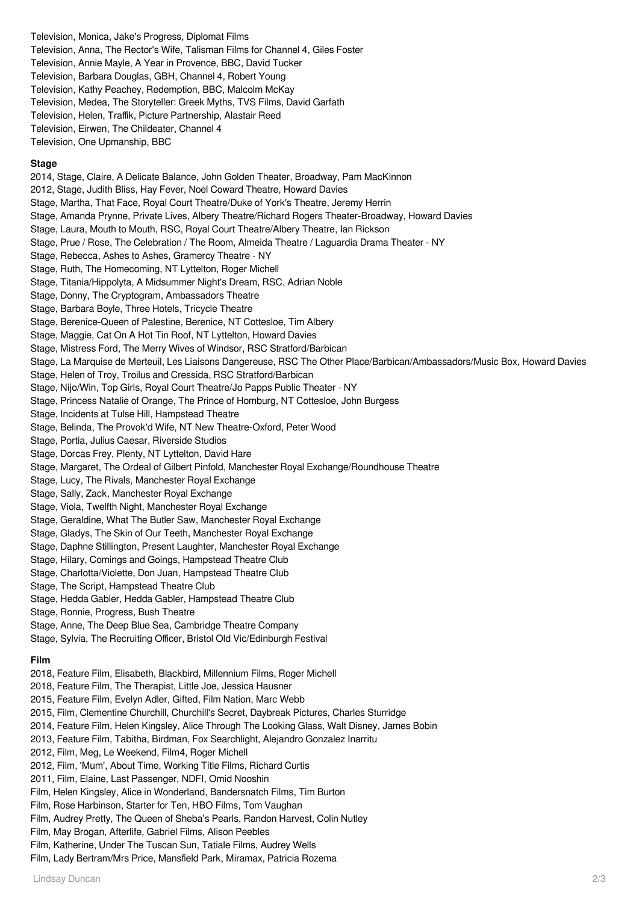Television, Monica, Jake's Progress, Diplomat Films

- Television, Anna, The Rector's Wife, Talisman Films for Channel 4, Giles Foster
- Television, Annie Mayle, A Year in Provence, BBC, David Tucker
- Television, Barbara Douglas, GBH, Channel 4, Robert Young
- Television, Kathy Peachey, Redemption, BBC, Malcolm McKay
- Television, Medea, The Storyteller: Greek Myths, TVS Films, David Garfath
- Television, Helen, Traffik, Picture Partnership, Alastair Reed
- Television, Eirwen, The Childeater, Channel 4

Television, One Upmanship, BBC

#### **Stage**

2014, Stage, Claire, A Delicate Balance, John Golden Theater, Broadway, Pam MacKinnon 2012, Stage, Judith Bliss, Hay Fever, Noel Coward Theatre, Howard Davies Stage, Martha, That Face, Royal Court Theatre/Duke of York's Theatre, Jeremy Herrin Stage, Amanda Prynne, Private Lives, Albery Theatre/Richard Rogers Theater-Broadway, Howard Davies Stage, Laura, Mouth to Mouth, RSC, Royal Court Theatre/Albery Theatre, Ian Rickson Stage, Prue / Rose, The Celebration / The Room, Almeida Theatre / Laguardia Drama Theater - NY Stage, Rebecca, Ashes to Ashes, Gramercy Theatre - NY Stage, Ruth, The Homecoming, NT Lyttelton, Roger Michell Stage, Titania/Hippolyta, A Midsummer Night's Dream, RSC, Adrian Noble Stage, Donny, The Cryptogram, Ambassadors Theatre Stage, Barbara Boyle, Three Hotels, Tricycle Theatre Stage, Berenice-Queen of Palestine, Berenice, NT Cottesloe, Tim Albery Stage, Maggie, Cat On A Hot Tin Roof, NT Lyttelton, Howard Davies Stage, Mistress Ford, The Merry Wives of Windsor, RSC Stratford/Barbican Stage, La Marquise de Merteuil, Les Liaisons Dangereuse, RSC The Other Place/Barbican/Ambassadors/Music Box, Howard Davies Stage, Helen of Troy, Troilus and Cressida, RSC Stratford/Barbican Stage, Nijo/Win, Top Girls, Royal Court Theatre/Jo Papps Public Theater - NY Stage, Princess Natalie of Orange, The Prince of Homburg, NT Cottesloe, John Burgess Stage, Incidents at Tulse Hill, Hampstead Theatre Stage, Belinda, The Provok'd Wife, NT New Theatre-Oxford, Peter Wood Stage, Portia, Julius Caesar, Riverside Studios Stage, Dorcas Frey, Plenty, NT Lyttelton, David Hare Stage, Margaret, The Ordeal of Gilbert Pinfold, Manchester Royal Exchange/Roundhouse Theatre Stage, Lucy, The Rivals, Manchester Royal Exchange Stage, Sally, Zack, Manchester Royal Exchange Stage, Viola, Twelfth Night, Manchester Royal Exchange Stage, Geraldine, What The Butler Saw, Manchester Royal Exchange Stage, Gladys, The Skin of Our Teeth, Manchester Royal Exchange Stage, Daphne Stillington, Present Laughter, Manchester Royal Exchange Stage, Hilary, Comings and Goings, Hampstead Theatre Club Stage, Charlotta/Violette, Don Juan, Hampstead Theatre Club Stage, The Script, Hampstead Theatre Club Stage, Hedda Gabler, Hedda Gabler, Hampstead Theatre Club Stage, Ronnie, Progress, Bush Theatre Stage, Anne, The Deep Blue Sea, Cambridge Theatre Company Stage, Sylvia, The Recruiting Officer, Bristol Old Vic/Edinburgh Festival **Film** 2018, Feature Film, Elisabeth, Blackbird, Millennium Films, Roger Michell 2018, Feature Film, The Therapist, Little Joe, Jessica Hausner 2015, Feature Film, Evelyn Adler, Gifted, Film Nation, Marc Webb 2015, Film, Clementine Churchill, Churchill's Secret, Daybreak Pictures, Charles Sturridge 2014, Feature Film, Helen Kingsley, Alice Through The Looking Glass, Walt Disney, James Bobin 2013, Feature Film, Tabitha, Birdman, Fox Searchlight, Alejandro Gonzalez Inarritu 2012, Film, Meg, Le Weekend, Film4, Roger Michell 2012, Film, 'Mum', About Time, Working Title Films, Richard Curtis 2011, Film, Elaine, Last Passenger, NDFI, Omid Nooshin Film, Helen Kingsley, Alice in Wonderland, Bandersnatch Films, Tim Burton Film, Rose Harbinson, Starter for Ten, HBO Films, Tom Vaughan Film, Audrey Pretty, The Queen of Sheba's Pearls, Randon Harvest, Colin Nutley Film, May Brogan, Afterlife, Gabriel Films, Alison Peebles Film, Katherine, Under The Tuscan Sun, Tatiale Films, Audrey Wells Film, Lady Bertram/Mrs Price, Mansfield Park, Miramax, Patricia Rozema